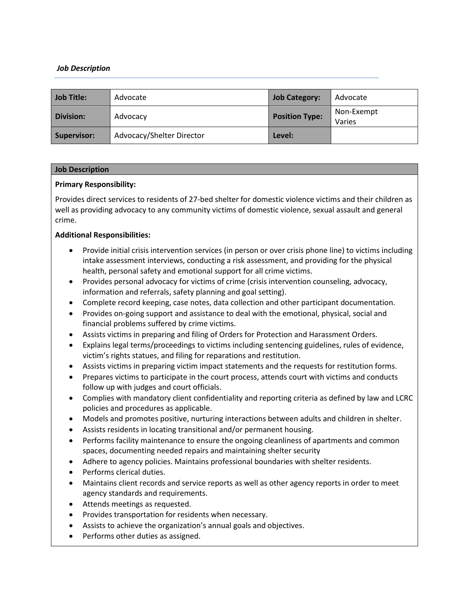## *Job Description*

| Job Title:       | Advocate                  | <b>Job Category:</b>  | Advocate             |
|------------------|---------------------------|-----------------------|----------------------|
| <b>Division:</b> | Advocacy                  | <b>Position Type:</b> | Non-Exempt<br>Varies |
| Supervisor:      | Advocacy/Shelter Director | Level:                |                      |

#### **Job Description**

#### **Primary Responsibility:**

Provides direct services to residents of 27-bed shelter for domestic violence victims and their children as well as providing advocacy to any community victims of domestic violence, sexual assault and general crime.

## **Additional Responsibilities:**

- Provide initial crisis intervention services (in person or over crisis phone line) to victims including intake assessment interviews, conducting a risk assessment, and providing for the physical health, personal safety and emotional support for all crime victims.
- Provides personal advocacy for victims of crime (crisis intervention counseling, advocacy, information and referrals, safety planning and goal setting).
- Complete record keeping, case notes, data collection and other participant documentation.
- Provides on-going support and assistance to deal with the emotional, physical, social and financial problems suffered by crime victims.
- Assists victims in preparing and filing of Orders for Protection and Harassment Orders.
- Explains legal terms/proceedings to victims including sentencing guidelines, rules of evidence, victim's rights statues, and filing for reparations and restitution.
- Assists victims in preparing victim impact statements and the requests for restitution forms.
- Prepares victims to participate in the court process, attends court with victims and conducts follow up with judges and court officials.
- Complies with mandatory client confidentiality and reporting criteria as defined by law and LCRC policies and procedures as applicable.
- Models and promotes positive, nurturing interactions between adults and children in shelter.
- Assists residents in locating transitional and/or permanent housing.
- Performs facility maintenance to ensure the ongoing cleanliness of apartments and common spaces, documenting needed repairs and maintaining shelter security
- Adhere to agency policies. Maintains professional boundaries with shelter residents.
- Performs clerical duties.
- Maintains client records and service reports as well as other agency reports in order to meet agency standards and requirements.
- Attends meetings as requested.
- Provides transportation for residents when necessary.
- Assists to achieve the organization's annual goals and objectives.
- Performs other duties as assigned.